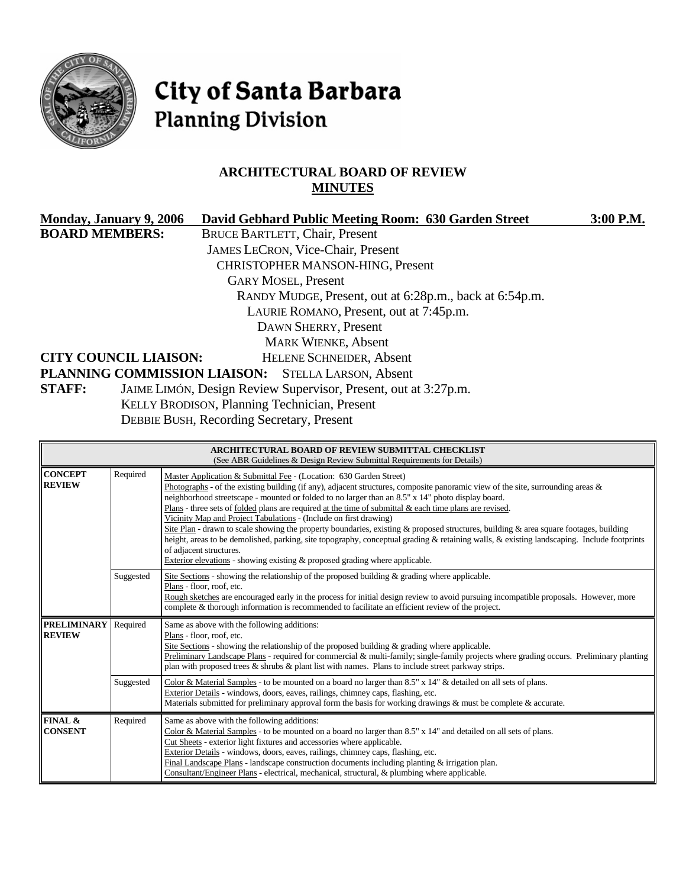

# City of Santa Barbara **Planning Division**

# **ARCHITECTURAL BOARD OF REVIEW MINUTES**

| Monday, January 9, 2006                                                          | David Gebhard Public Meeting Room: 630 Garden Street    | 3:00 P.M. |  |
|----------------------------------------------------------------------------------|---------------------------------------------------------|-----------|--|
| <b>BOARD MEMBERS:</b>                                                            | <b>BRUCE BARTLETT, Chair, Present</b>                   |           |  |
|                                                                                  | <b>JAMES LECRON, Vice-Chair, Present</b>                |           |  |
|                                                                                  | <b>CHRISTOPHER MANSON-HING, Present</b>                 |           |  |
|                                                                                  | <b>GARY MOSEL, Present</b>                              |           |  |
|                                                                                  | RANDY MUDGE, Present, out at 6:28p.m., back at 6:54p.m. |           |  |
| LAURIE ROMANO, Present, out at 7:45p.m.                                          |                                                         |           |  |
|                                                                                  | DAWN SHERRY, Present                                    |           |  |
|                                                                                  | <b>MARK WIENKE, Absent</b>                              |           |  |
| <b>CITY COUNCIL LIAISON:</b>                                                     | <b>HELENE SCHNEIDER, Absent</b>                         |           |  |
|                                                                                  | PLANNING COMMISSION LIAISON: STELLA LARSON, Absent      |           |  |
| JAIME LIMÓN, Design Review Supervisor, Present, out at 3:27p.m.<br><b>STAFF:</b> |                                                         |           |  |
|                                                                                  | KELLY BRODISON, Planning Technician, Present            |           |  |
|                                                                                  |                                                         |           |  |

DEBBIE BUSH, Recording Secretary, Present

| <b>ARCHITECTURAL BOARD OF REVIEW SUBMITTAL CHECKLIST</b><br>(See ABR Guidelines & Design Review Submittal Requirements for Details) |           |                                                                                                                                                                                                                                                                                                                                                                                                                                                                                                                                                                                                                                                                                                                                                                                                                                                                                                      |  |  |
|-------------------------------------------------------------------------------------------------------------------------------------|-----------|------------------------------------------------------------------------------------------------------------------------------------------------------------------------------------------------------------------------------------------------------------------------------------------------------------------------------------------------------------------------------------------------------------------------------------------------------------------------------------------------------------------------------------------------------------------------------------------------------------------------------------------------------------------------------------------------------------------------------------------------------------------------------------------------------------------------------------------------------------------------------------------------------|--|--|
| <b>CONCEPT</b><br><b>REVIEW</b>                                                                                                     | Required  | Master Application & Submittal Fee - (Location: 630 Garden Street)<br>Photographs - of the existing building (if any), adjacent structures, composite panoramic view of the site, surrounding areas $\&$<br>neighborhood streetscape - mounted or folded to no larger than an 8.5" x 14" photo display board.<br>Plans - three sets of folded plans are required at the time of submittal $\&$ each time plans are revised.<br>Vicinity Map and Project Tabulations - (Include on first drawing)<br>Site Plan - drawn to scale showing the property boundaries, existing & proposed structures, building & area square footages, building<br>height, areas to be demolished, parking, site topography, conceptual grading & retaining walls, & existing landscaping. Include footprints<br>of adjacent structures.<br>Exterior elevations - showing existing $\&$ proposed grading where applicable. |  |  |
|                                                                                                                                     | Suggested | Site Sections - showing the relationship of the proposed building $\&$ grading where applicable.<br>Plans - floor, roof, etc.<br>Rough sketches are encouraged early in the process for initial design review to avoid pursuing incompatible proposals. However, more<br>complete & thorough information is recommended to facilitate an efficient review of the project.                                                                                                                                                                                                                                                                                                                                                                                                                                                                                                                            |  |  |
| <b>PRELIMINARY</b><br><b>REVIEW</b>                                                                                                 | Required  | Same as above with the following additions:<br>Plans - floor, roof, etc.<br>Site Sections - showing the relationship of the proposed building $\&$ grading where applicable.<br>Preliminary Landscape Plans - required for commercial & multi-family; single-family projects where grading occurs. Preliminary planting<br>plan with proposed trees $\&$ shrubs $\&$ plant list with names. Plans to include street parkway strips.                                                                                                                                                                                                                                                                                                                                                                                                                                                                  |  |  |
|                                                                                                                                     | Suggested | Color & Material Samples - to be mounted on a board no larger than $8.5" \times 14"$ & detailed on all sets of plans.<br>Exterior Details - windows, doors, eaves, railings, chimney caps, flashing, etc.<br>Materials submitted for preliminary approval form the basis for working drawings & must be complete & accurate.                                                                                                                                                                                                                                                                                                                                                                                                                                                                                                                                                                         |  |  |
| FINAL &<br><b>CONSENT</b>                                                                                                           | Required  | Same as above with the following additions:<br>Color & Material Samples - to be mounted on a board no larger than $8.5" \times 14"$ and detailed on all sets of plans.<br>Cut Sheets - exterior light fixtures and accessories where applicable.<br>Exterior Details - windows, doors, eaves, railings, chimney caps, flashing, etc.<br>Final Landscape Plans - landscape construction documents including planting $\&$ irrigation plan.<br>Consultant/Engineer Plans - electrical, mechanical, structural, & plumbing where applicable.                                                                                                                                                                                                                                                                                                                                                            |  |  |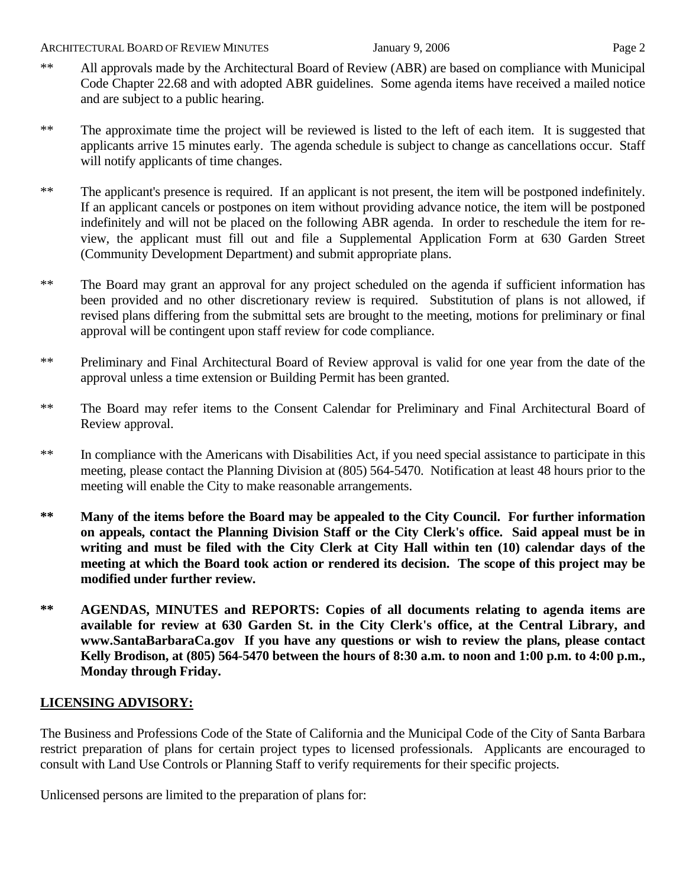- \*\* All approvals made by the Architectural Board of Review (ABR) are based on compliance with Municipal Code Chapter 22.68 and with adopted ABR guidelines. Some agenda items have received a mailed notice and are subject to a public hearing.
- \*\* The approximate time the project will be reviewed is listed to the left of each item. It is suggested that applicants arrive 15 minutes early. The agenda schedule is subject to change as cancellations occur. Staff will notify applicants of time changes.
- \*\* The applicant's presence is required. If an applicant is not present, the item will be postponed indefinitely. If an applicant cancels or postpones on item without providing advance notice, the item will be postponed indefinitely and will not be placed on the following ABR agenda. In order to reschedule the item for review, the applicant must fill out and file a Supplemental Application Form at 630 Garden Street (Community Development Department) and submit appropriate plans.
- \*\* The Board may grant an approval for any project scheduled on the agenda if sufficient information has been provided and no other discretionary review is required. Substitution of plans is not allowed, if revised plans differing from the submittal sets are brought to the meeting, motions for preliminary or final approval will be contingent upon staff review for code compliance.
- \*\* Preliminary and Final Architectural Board of Review approval is valid for one year from the date of the approval unless a time extension or Building Permit has been granted.
- \*\* The Board may refer items to the Consent Calendar for Preliminary and Final Architectural Board of Review approval.
- \*\* In compliance with the Americans with Disabilities Act, if you need special assistance to participate in this meeting, please contact the Planning Division at (805) 564-5470. Notification at least 48 hours prior to the meeting will enable the City to make reasonable arrangements.
- **\*\* Many of the items before the Board may be appealed to the City Council. For further information on appeals, contact the Planning Division Staff or the City Clerk's office. Said appeal must be in writing and must be filed with the City Clerk at City Hall within ten (10) calendar days of the meeting at which the Board took action or rendered its decision. The scope of this project may be modified under further review.**
- **\*\* AGENDAS, MINUTES and REPORTS: Copies of all documents relating to agenda items are available for review at 630 Garden St. in the City Clerk's office, at the Central Library, and [www.SantaBarbaraCa.gov](http://www.santabarbaraca.gov/) If you have any questions or wish to review the plans, please contact Kelly Brodison, at (805) 564-5470 between the hours of 8:30 a.m. to noon and 1:00 p.m. to 4:00 p.m., Monday through Friday.**

# **LICENSING ADVISORY:**

The Business and Professions Code of the State of California and the Municipal Code of the City of Santa Barbara restrict preparation of plans for certain project types to licensed professionals. Applicants are encouraged to consult with Land Use Controls or Planning Staff to verify requirements for their specific projects.

Unlicensed persons are limited to the preparation of plans for: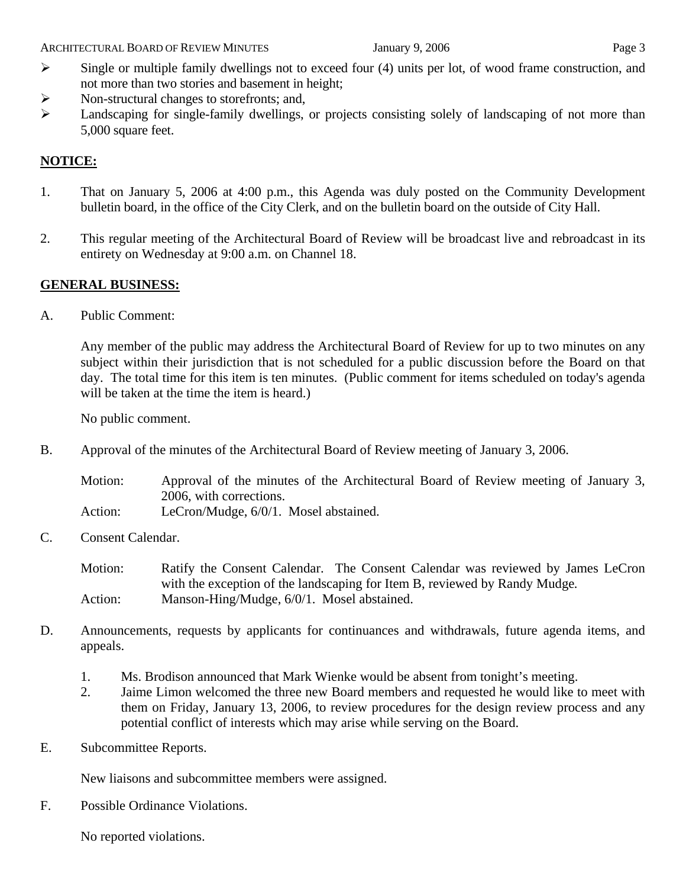- $\triangleright$  Single or multiple family dwellings not to exceed four (4) units per lot, of wood frame construction, and not more than two stories and basement in height;
- ¾ Non-structural changes to storefronts; and,
- ¾ Landscaping for single-family dwellings, or projects consisting solely of landscaping of not more than 5,000 square feet.

# **NOTICE:**

- 1. That on January 5, 2006 at 4:00 p.m., this Agenda was duly posted on the Community Development bulletin board, in the office of the City Clerk, and on the bulletin board on the outside of City Hall.
- 2. This regular meeting of the Architectural Board of Review will be broadcast live and rebroadcast in its entirety on Wednesday at 9:00 a.m. on Channel 18.

# **GENERAL BUSINESS:**

A. Public Comment:

Any member of the public may address the Architectural Board of Review for up to two minutes on any subject within their jurisdiction that is not scheduled for a public discussion before the Board on that day. The total time for this item is ten minutes. (Public comment for items scheduled on today's agenda will be taken at the time the item is heard.)

No public comment.

B. Approval of the minutes of the Architectural Board of Review meeting of January 3, 2006.

Motion: Approval of the minutes of the Architectural Board of Review meeting of January 3, 2006, with corrections.

- Action: LeCron/Mudge, 6/0/1. Mosel abstained.
- C. Consent Calendar.

Motion: Ratify the Consent Calendar. The Consent Calendar was reviewed by James LeCron with the exception of the landscaping for Item B, reviewed by Randy Mudge*.* Action: Manson-Hing/Mudge, 6/0/1. Mosel abstained.

- D. Announcements, requests by applicants for continuances and withdrawals, future agenda items, and appeals.
	- 1. Ms. Brodison announced that Mark Wienke would be absent from tonight's meeting.
	- 2. Jaime Limon welcomed the three new Board members and requested he would like to meet with them on Friday, January 13, 2006, to review procedures for the design review process and any potential conflict of interests which may arise while serving on the Board.
- E. Subcommittee Reports.

New liaisons and subcommittee members were assigned.

F. Possible Ordinance Violations.

No reported violations.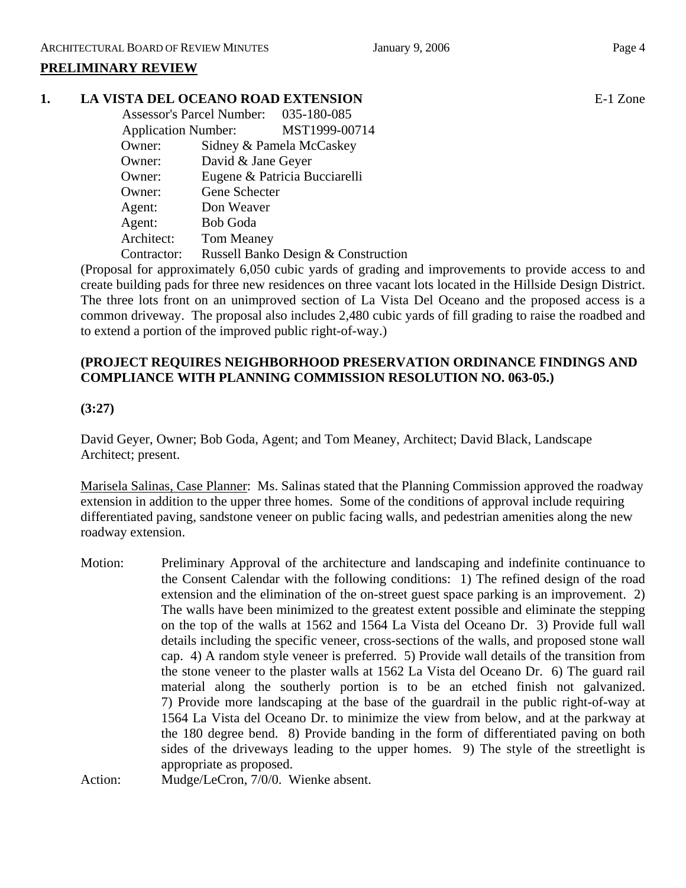# **1. LA VISTA DEL OCEANO ROAD EXTENSION** E-1 Zone

|                            | <b>Assessor's Parcel Number:</b> | 035-180-085                         |
|----------------------------|----------------------------------|-------------------------------------|
| <b>Application Number:</b> |                                  | MST1999-00714                       |
| Owner:                     |                                  | Sidney & Pamela McCaskey            |
| Owner:                     | David & Jane Geyer               |                                     |
| Owner:                     |                                  | Eugene & Patricia Bucciarelli       |
| Owner:                     | Gene Schecter                    |                                     |
| Agent:                     | Don Weaver                       |                                     |
| Agent:                     | <b>Bob Goda</b>                  |                                     |
| Architect:                 | <b>Tom Meaney</b>                |                                     |
| Contractor:                |                                  | Russell Banko Design & Construction |

(Proposal for approximately 6,050 cubic yards of grading and improvements to provide access to and create building pads for three new residences on three vacant lots located in the Hillside Design District. The three lots front on an unimproved section of La Vista Del Oceano and the proposed access is a common driveway. The proposal also includes 2,480 cubic yards of fill grading to raise the roadbed and to extend a portion of the improved public right-of-way.)

# **(PROJECT REQUIRES NEIGHBORHOOD PRESERVATION ORDINANCE FINDINGS AND COMPLIANCE WITH PLANNING COMMISSION RESOLUTION NO. 063-05.)**

# **(3:27)**

David Geyer, Owner; Bob Goda, Agent; and Tom Meaney, Architect; David Black, Landscape Architect; present.

Marisela Salinas, Case Planner: Ms. Salinas stated that the Planning Commission approved the roadway extension in addition to the upper three homes. Some of the conditions of approval include requiring differentiated paving, sandstone veneer on public facing walls, and pedestrian amenities along the new roadway extension.

Motion: Preliminary Approval of the architecture and landscaping and indefinite continuance to the Consent Calendar with the following conditions: 1) The refined design of the road extension and the elimination of the on-street guest space parking is an improvement. 2) The walls have been minimized to the greatest extent possible and eliminate the stepping on the top of the walls at 1562 and 1564 La Vista del Oceano Dr. 3) Provide full wall details including the specific veneer, cross-sections of the walls, and proposed stone wall cap. 4) A random style veneer is preferred. 5) Provide wall details of the transition from the stone veneer to the plaster walls at 1562 La Vista del Oceano Dr. 6) The guard rail material along the southerly portion is to be an etched finish not galvanized. 7) Provide more landscaping at the base of the guardrail in the public right-of-way at 1564 La Vista del Oceano Dr. to minimize the view from below, and at the parkway at the 180 degree bend. 8) Provide banding in the form of differentiated paving on both sides of the driveways leading to the upper homes. 9) The style of the streetlight is appropriate as proposed.

Action: Mudge/LeCron, 7/0/0. Wienke absent.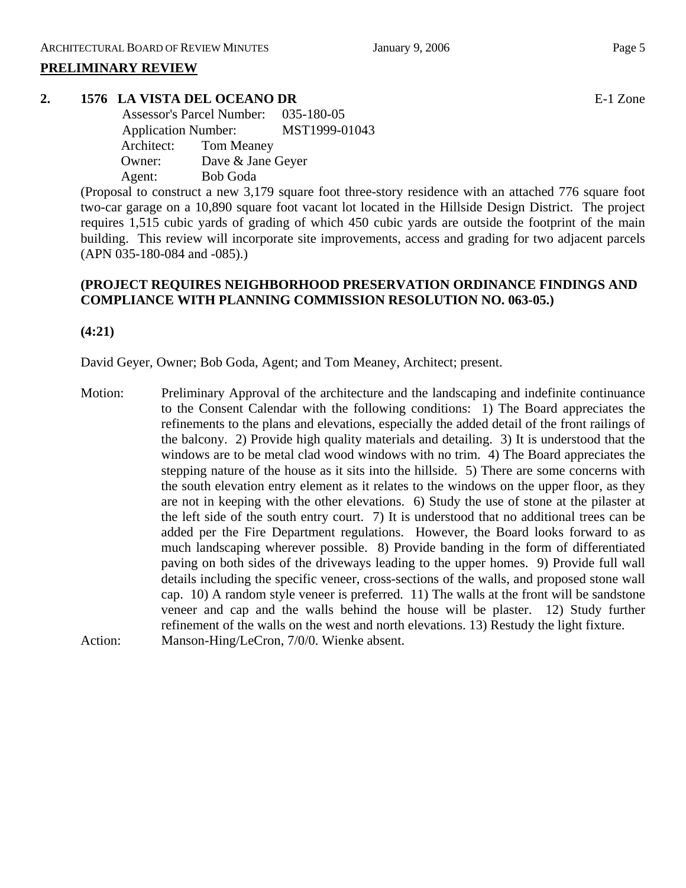# **2. 1576 LA VISTA DEL OCEANO DR** E-1 Zone

 Assessor's Parcel Number: 035-180-05 Application Number: MST1999-01043 Architect: Tom Meaney Owner: Dave & Jane Geyer Agent: Bob Goda

(Proposal to construct a new 3,179 square foot three-story residence with an attached 776 square foot two-car garage on a 10,890 square foot vacant lot located in the Hillside Design District. The project requires 1,515 cubic yards of grading of which 450 cubic yards are outside the footprint of the main building. This review will incorporate site improvements, access and grading for two adjacent parcels (APN 035-180-084 and -085).)

# **(PROJECT REQUIRES NEIGHBORHOOD PRESERVATION ORDINANCE FINDINGS AND COMPLIANCE WITH PLANNING COMMISSION RESOLUTION NO. 063-05.)**

**(4:21)** 

David Geyer, Owner; Bob Goda, Agent; and Tom Meaney, Architect; present.

Motion: Preliminary Approval of the architecture and the landscaping and indefinite continuance to the Consent Calendar with the following conditions: 1) The Board appreciates the refinements to the plans and elevations, especially the added detail of the front railings of the balcony. 2) Provide high quality materials and detailing. 3) It is understood that the windows are to be metal clad wood windows with no trim. 4) The Board appreciates the stepping nature of the house as it sits into the hillside. 5) There are some concerns with the south elevation entry element as it relates to the windows on the upper floor, as they are not in keeping with the other elevations. 6) Study the use of stone at the pilaster at the left side of the south entry court. 7) It is understood that no additional trees can be added per the Fire Department regulations. However, the Board looks forward to as much landscaping wherever possible. 8) Provide banding in the form of differentiated paving on both sides of the driveways leading to the upper homes. 9) Provide full wall details including the specific veneer, cross-sections of the walls, and proposed stone wall cap. 10) A random style veneer is preferred. 11) The walls at the front will be sandstone veneer and cap and the walls behind the house will be plaster. 12) Study further refinement of the walls on the west and north elevations. 13) Restudy the light fixture. Action: Manson-Hing/LeCron, 7/0/0. Wienke absent.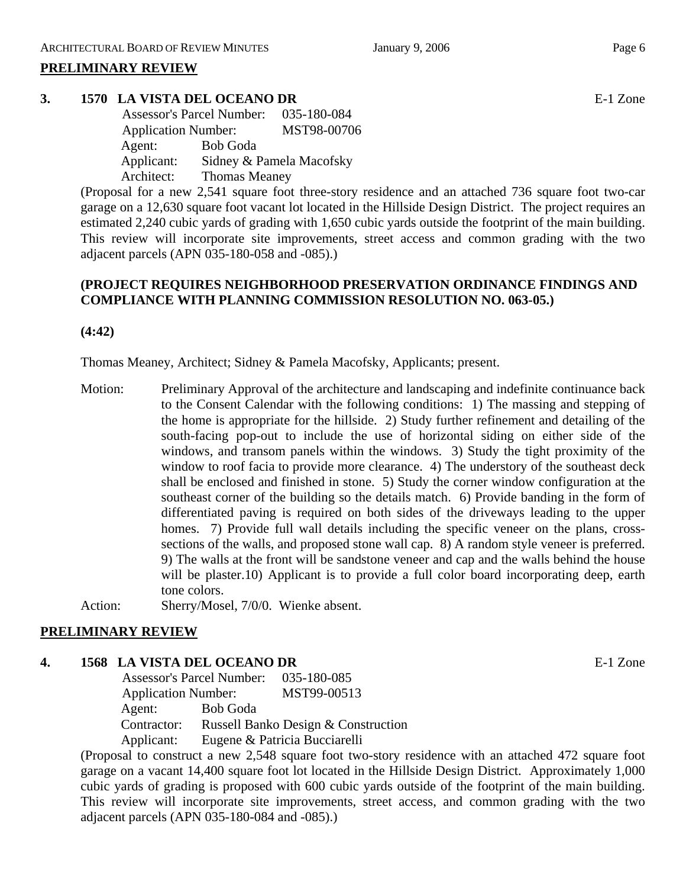# **3. 1570 LA VISTA DEL OCEANO DR** E-1 Zone

 Assessor's Parcel Number: 035-180-084 Application Number: MST98-00706 Agent: Bob Goda Applicant: Sidney & Pamela Macofsky Architect: Thomas Meaney

(Proposal for a new 2,541 square foot three-story residence and an attached 736 square foot two-car garage on a 12,630 square foot vacant lot located in the Hillside Design District. The project requires an estimated 2,240 cubic yards of grading with 1,650 cubic yards outside the footprint of the main building. This review will incorporate site improvements, street access and common grading with the two adjacent parcels (APN 035-180-058 and -085).)

# **(PROJECT REQUIRES NEIGHBORHOOD PRESERVATION ORDINANCE FINDINGS AND COMPLIANCE WITH PLANNING COMMISSION RESOLUTION NO. 063-05.)**

**(4:42)** 

Thomas Meaney, Architect; Sidney & Pamela Macofsky, Applicants; present.

Motion: Preliminary Approval of the architecture and landscaping and indefinite continuance back to the Consent Calendar with the following conditions: 1) The massing and stepping of the home is appropriate for the hillside. 2) Study further refinement and detailing of the south-facing pop-out to include the use of horizontal siding on either side of the windows, and transom panels within the windows. 3) Study the tight proximity of the window to roof facia to provide more clearance. 4) The understory of the southeast deck shall be enclosed and finished in stone. 5) Study the corner window configuration at the southeast corner of the building so the details match. 6) Provide banding in the form of differentiated paving is required on both sides of the driveways leading to the upper homes. 7) Provide full wall details including the specific veneer on the plans, crosssections of the walls, and proposed stone wall cap. 8) A random style veneer is preferred. 9) The walls at the front will be sandstone veneer and cap and the walls behind the house will be plaster.10) Applicant is to provide a full color board incorporating deep, earth tone colors.

Action: Sherry/Mosel, 7/0/0. Wienke absent.

# **PRELIMINARY REVIEW**

# **4. 1568 LA VISTA DEL OCEANO DR** E-1 Zone

 Assessor's Parcel Number: 035-180-085 Application Number: MST99-00513 Agent: Bob Goda Contractor: Russell Banko Design & Construction Applicant: Eugene & Patricia Bucciarelli

(Proposal to construct a new 2,548 square foot two-story residence with an attached 472 square foot garage on a vacant 14,400 square foot lot located in the Hillside Design District. Approximately 1,000 cubic yards of grading is proposed with 600 cubic yards outside of the footprint of the main building. This review will incorporate site improvements, street access, and common grading with the two adjacent parcels (APN 035-180-084 and -085).)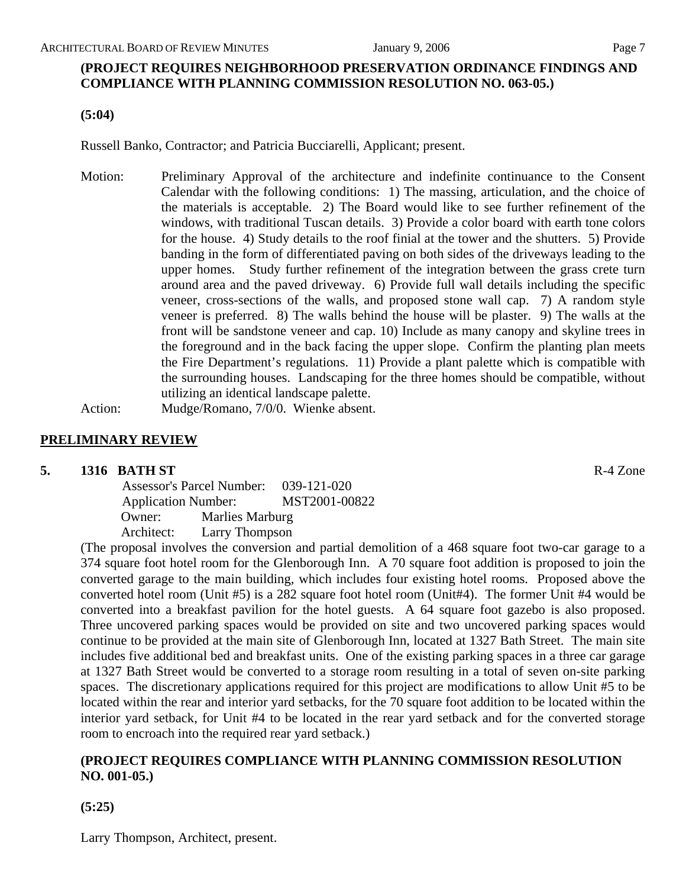**(PROJECT REQUIRES NEIGHBORHOOD PRESERVATION ORDINANCE FINDINGS AND COMPLIANCE WITH PLANNING COMMISSION RESOLUTION NO. 063-05.)** 

**(5:04)** 

Russell Banko, Contractor; and Patricia Bucciarelli, Applicant; present.

Motion: Preliminary Approval of the architecture and indefinite continuance to the Consent Calendar with the following conditions: 1) The massing, articulation, and the choice of the materials is acceptable. 2) The Board would like to see further refinement of the windows, with traditional Tuscan details. 3) Provide a color board with earth tone colors for the house. 4) Study details to the roof finial at the tower and the shutters. 5) Provide banding in the form of differentiated paving on both sides of the driveways leading to the upper homes. Study further refinement of the integration between the grass crete turn around area and the paved driveway. 6) Provide full wall details including the specific veneer, cross-sections of the walls, and proposed stone wall cap. 7) A random style veneer is preferred. 8) The walls behind the house will be plaster. 9) The walls at the front will be sandstone veneer and cap. 10) Include as many canopy and skyline trees in the foreground and in the back facing the upper slope. Confirm the planting plan meets the Fire Department's regulations. 11) Provide a plant palette which is compatible with the surrounding houses. Landscaping for the three homes should be compatible, without utilizing an identical landscape palette.

Action: Mudge/Romano, 7/0/0. Wienke absent.

# **PRELIMINARY REVIEW**

# **5. 1316 BATH ST R-4 Zone**

 Assessor's Parcel Number: 039-121-020 Application Number: MST2001-00822 Owner: Marlies Marburg Architect: Larry Thompson

(The proposal involves the conversion and partial demolition of a 468 square foot two-car garage to a 374 square foot hotel room for the Glenborough Inn. A 70 square foot addition is proposed to join the converted garage to the main building, which includes four existing hotel rooms. Proposed above the converted hotel room (Unit #5) is a 282 square foot hotel room (Unit#4). The former Unit #4 would be converted into a breakfast pavilion for the hotel guests. A 64 square foot gazebo is also proposed. Three uncovered parking spaces would be provided on site and two uncovered parking spaces would continue to be provided at the main site of Glenborough Inn, located at 1327 Bath Street. The main site includes five additional bed and breakfast units. One of the existing parking spaces in a three car garage at 1327 Bath Street would be converted to a storage room resulting in a total of seven on-site parking spaces. The discretionary applications required for this project are modifications to allow Unit #5 to be located within the rear and interior yard setbacks, for the 70 square foot addition to be located within the interior yard setback, for Unit #4 to be located in the rear yard setback and for the converted storage room to encroach into the required rear yard setback.)

# **(PROJECT REQUIRES COMPLIANCE WITH PLANNING COMMISSION RESOLUTION NO. 001-05.)**

**(5:25)**

Larry Thompson, Architect, present.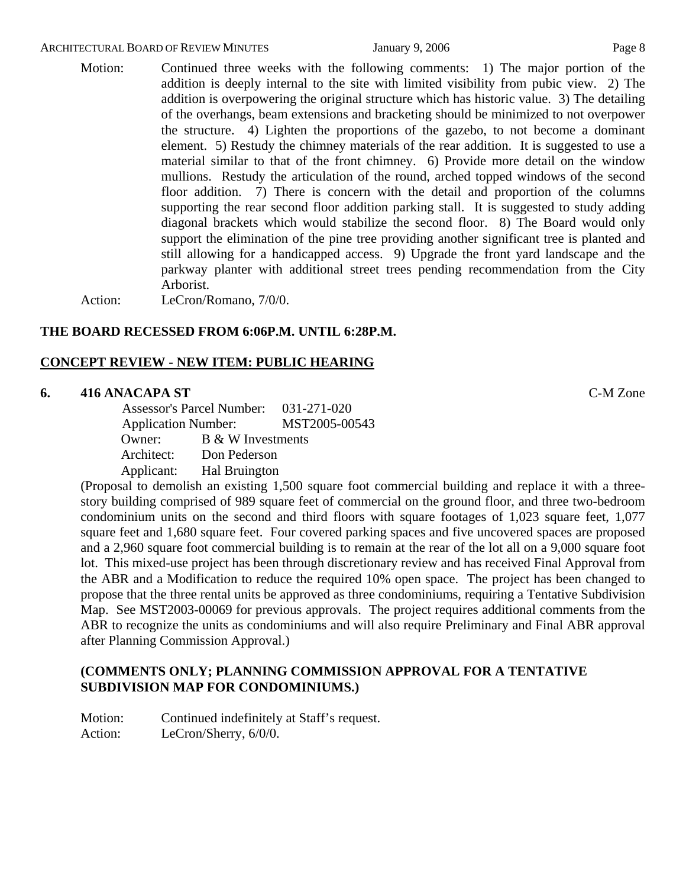#### ARCHITECTURAL BOARD OF REVIEW MINUTES **First** January 9, 2006 **Page 8** Page 8

# Motion: Continued three weeks with the following comments: 1) The major portion of the addition is deeply internal to the site with limited visibility from pubic view. 2) The addition is overpowering the original structure which has historic value. 3) The detailing of the overhangs, beam extensions and bracketing should be minimized to not overpower the structure. 4) Lighten the proportions of the gazebo, to not become a dominant element. 5) Restudy the chimney materials of the rear addition. It is suggested to use a material similar to that of the front chimney. 6) Provide more detail on the window mullions. Restudy the articulation of the round, arched topped windows of the second floor addition. 7) There is concern with the detail and proportion of the columns supporting the rear second floor addition parking stall. It is suggested to study adding diagonal brackets which would stabilize the second floor. 8) The Board would only support the elimination of the pine tree providing another significant tree is planted and still allowing for a handicapped access. 9) Upgrade the front yard landscape and the parkway planter with additional street trees pending recommendation from the City Arborist.

Action: LeCron/Romano, 7/0/0.

#### **THE BOARD RECESSED FROM 6:06P.M. UNTIL 6:28P.M.**

#### **CONCEPT REVIEW - NEW ITEM: PUBLIC HEARING**

#### **6. 416 ANACAPA ST** C-M Zone

 Assessor's Parcel Number: 031-271-020 Application Number: MST2005-00543 Owner: B & W Investments Architect: Don Pederson Applicant: Hal Bruington

(Proposal to demolish an existing 1,500 square foot commercial building and replace it with a threestory building comprised of 989 square feet of commercial on the ground floor, and three two-bedroom condominium units on the second and third floors with square footages of 1,023 square feet, 1,077 square feet and 1,680 square feet. Four covered parking spaces and five uncovered spaces are proposed and a 2,960 square foot commercial building is to remain at the rear of the lot all on a 9,000 square foot lot. This mixed-use project has been through discretionary review and has received Final Approval from the ABR and a Modification to reduce the required 10% open space. The project has been changed to propose that the three rental units be approved as three condominiums, requiring a Tentative Subdivision Map. See MST2003-00069 for previous approvals. The project requires additional comments from the ABR to recognize the units as condominiums and will also require Preliminary and Final ABR approval after Planning Commission Approval.)

# **(COMMENTS ONLY; PLANNING COMMISSION APPROVAL FOR A TENTATIVE SUBDIVISION MAP FOR CONDOMINIUMS.)**

Motion: Continued indefinitely at Staff's request. Action: LeCron/Sherry, 6/0/0.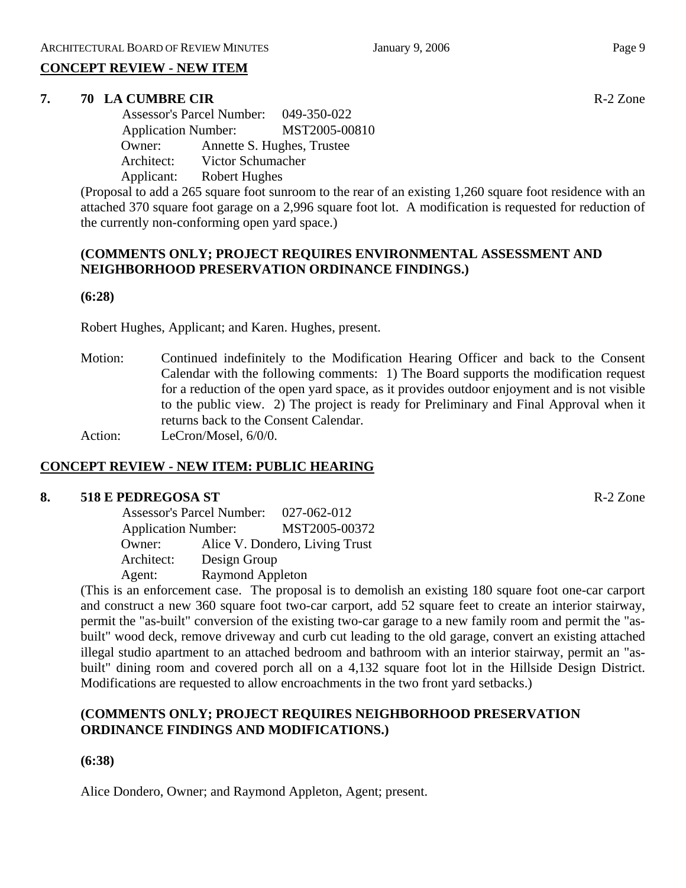# **CONCEPT REVIEW - NEW ITEM**

# **7. 70 LA CUMBRE CIR R-2** Zone

 Assessor's Parcel Number: 049-350-022 Application Number: MST2005-00810 Owner: Annette S. Hughes, Trustee Architect: Victor Schumacher Applicant: Robert Hughes

(Proposal to add a 265 square foot sunroom to the rear of an existing 1,260 square foot residence with an attached 370 square foot garage on a 2,996 square foot lot. A modification is requested for reduction of the currently non-conforming open yard space.)

# **(COMMENTS ONLY; PROJECT REQUIRES ENVIRONMENTAL ASSESSMENT AND NEIGHBORHOOD PRESERVATION ORDINANCE FINDINGS.)**

#### **(6:28)**

Robert Hughes, Applicant; and Karen. Hughes, present.

Motion: Continued indefinitely to the Modification Hearing Officer and back to the Consent Calendar with the following comments: 1) The Board supports the modification request for a reduction of the open yard space, as it provides outdoor enjoyment and is not visible to the public view. 2) The project is ready for Preliminary and Final Approval when it returns back to the Consent Calendar.

Action: LeCron/Mosel, 6/0/0.

# **CONCEPT REVIEW - NEW ITEM: PUBLIC HEARING**

# **8. 518 E PEDREGOSA ST** R-2 Zone

 Assessor's Parcel Number: 027-062-012 Application Number: MST2005-00372 Owner: Alice V. Dondero, Living Trust Architect: Design Group Agent: Raymond Appleton

(This is an enforcement case. The proposal is to demolish an existing 180 square foot one-car carport and construct a new 360 square foot two-car carport, add 52 square feet to create an interior stairway, permit the "as-built" conversion of the existing two-car garage to a new family room and permit the "asbuilt" wood deck, remove driveway and curb cut leading to the old garage, convert an existing attached illegal studio apartment to an attached bedroom and bathroom with an interior stairway, permit an "asbuilt" dining room and covered porch all on a 4,132 square foot lot in the Hillside Design District. Modifications are requested to allow encroachments in the two front yard setbacks.)

# **(COMMENTS ONLY; PROJECT REQUIRES NEIGHBORHOOD PRESERVATION ORDINANCE FINDINGS AND MODIFICATIONS.)**

# **(6:38)**

Alice Dondero, Owner; and Raymond Appleton, Agent; present.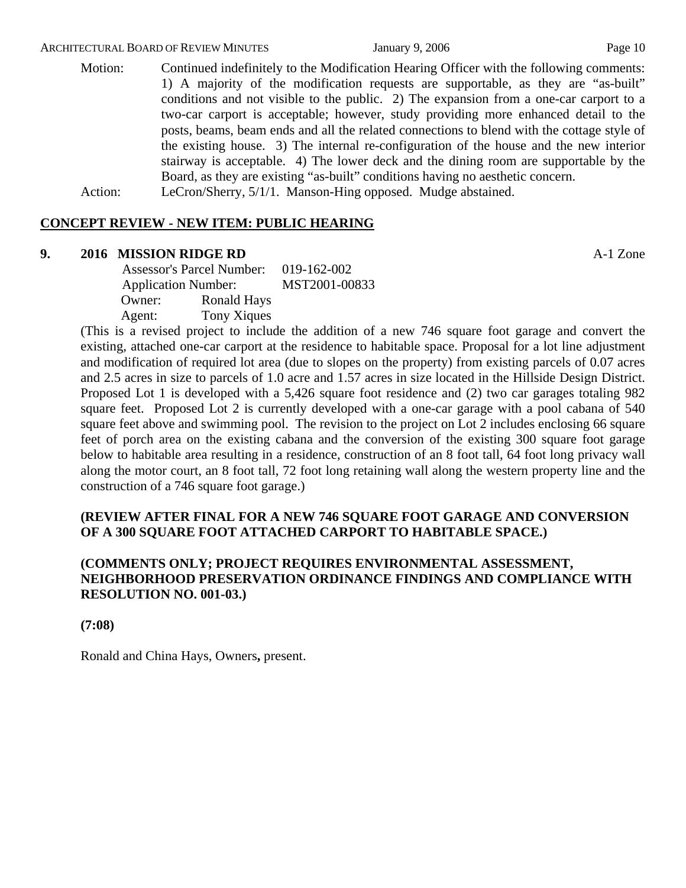Motion: Continued indefinitely to the Modification Hearing Officer with the following comments: 1) A majority of the modification requests are supportable, as they are "as-built" conditions and not visible to the public. 2) The expansion from a one-car carport to a two-car carport is acceptable; however, study providing more enhanced detail to the posts, beams, beam ends and all the related connections to blend with the cottage style of the existing house. 3) The internal re-configuration of the house and the new interior stairway is acceptable. 4) The lower deck and the dining room are supportable by the Board, as they are existing "as-built" conditions having no aesthetic concern. Action: LeCron/Sherry, 5/1/1. Manson-Hing opposed. Mudge abstained.

# **CONCEPT REVIEW - NEW ITEM: PUBLIC HEARING**

#### **9. 2016 MISSION RIDGE RD** A-1 Zone

 Assessor's Parcel Number: 019-162-002 Application Number: MST2001-00833 Owner: Ronald Hays Agent: Tony Xiques

(This is a revised project to include the addition of a new 746 square foot garage and convert the existing, attached one-car carport at the residence to habitable space. Proposal for a lot line adjustment and modification of required lot area (due to slopes on the property) from existing parcels of 0.07 acres and 2.5 acres in size to parcels of 1.0 acre and 1.57 acres in size located in the Hillside Design District. Proposed Lot 1 is developed with a 5,426 square foot residence and (2) two car garages totaling 982 square feet. Proposed Lot 2 is currently developed with a one-car garage with a pool cabana of 540 square feet above and swimming pool. The revision to the project on Lot 2 includes enclosing 66 square feet of porch area on the existing cabana and the conversion of the existing 300 square foot garage below to habitable area resulting in a residence, construction of an 8 foot tall, 64 foot long privacy wall along the motor court, an 8 foot tall, 72 foot long retaining wall along the western property line and the construction of a 746 square foot garage.)

# **(REVIEW AFTER FINAL FOR A NEW 746 SQUARE FOOT GARAGE AND CONVERSION OF A 300 SQUARE FOOT ATTACHED CARPORT TO HABITABLE SPACE.)**

# **(COMMENTS ONLY; PROJECT REQUIRES ENVIRONMENTAL ASSESSMENT, NEIGHBORHOOD PRESERVATION ORDINANCE FINDINGS AND COMPLIANCE WITH RESOLUTION NO. 001-03.)**

**(7:08)** 

Ronald and China Hays, Owners**,** present.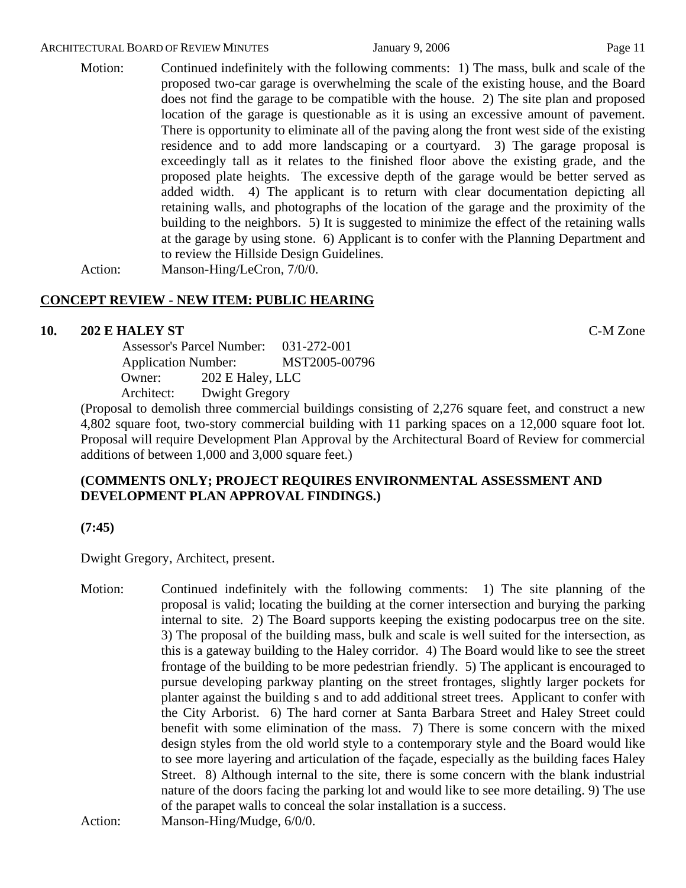Motion: Continued indefinitely with the following comments: 1) The mass, bulk and scale of the proposed two-car garage is overwhelming the scale of the existing house, and the Board does not find the garage to be compatible with the house. 2) The site plan and proposed location of the garage is questionable as it is using an excessive amount of pavement. There is opportunity to eliminate all of the paving along the front west side of the existing residence and to add more landscaping or a courtyard. 3) The garage proposal is exceedingly tall as it relates to the finished floor above the existing grade, and the proposed plate heights. The excessive depth of the garage would be better served as added width. 4) The applicant is to return with clear documentation depicting all retaining walls, and photographs of the location of the garage and the proximity of the building to the neighbors. 5) It is suggested to minimize the effect of the retaining walls at the garage by using stone. 6) Applicant is to confer with the Planning Department and to review the Hillside Design Guidelines.

Action: Manson-Hing/LeCron, 7/0/0.

# **CONCEPT REVIEW - NEW ITEM: PUBLIC HEARING**

# **10. 202 E HALEY ST** C-M Zone

 Assessor's Parcel Number: 031-272-001 Application Number: MST2005-00796 Owner: 202 E Haley, LLC Architect: Dwight Gregory

(Proposal to demolish three commercial buildings consisting of 2,276 square feet, and construct a new 4,802 square foot, two-story commercial building with 11 parking spaces on a 12,000 square foot lot. Proposal will require Development Plan Approval by the Architectural Board of Review for commercial additions of between 1,000 and 3,000 square feet.)

# **(COMMENTS ONLY; PROJECT REQUIRES ENVIRONMENTAL ASSESSMENT AND DEVELOPMENT PLAN APPROVAL FINDINGS.)**

**(7:45)** 

Dwight Gregory, Architect, present.

Motion: Continued indefinitely with the following comments: 1) The site planning of the proposal is valid; locating the building at the corner intersection and burying the parking internal to site. 2) The Board supports keeping the existing podocarpus tree on the site. 3) The proposal of the building mass, bulk and scale is well suited for the intersection, as this is a gateway building to the Haley corridor. 4) The Board would like to see the street frontage of the building to be more pedestrian friendly. 5) The applicant is encouraged to pursue developing parkway planting on the street frontages, slightly larger pockets for planter against the building s and to add additional street trees. Applicant to confer with the City Arborist. 6) The hard corner at Santa Barbara Street and Haley Street could benefit with some elimination of the mass. 7) There is some concern with the mixed design styles from the old world style to a contemporary style and the Board would like to see more layering and articulation of the façade, especially as the building faces Haley Street. 8) Although internal to the site, there is some concern with the blank industrial nature of the doors facing the parking lot and would like to see more detailing. 9) The use of the parapet walls to conceal the solar installation is a success.

Action: Manson-Hing/Mudge,  $6/0/0$ .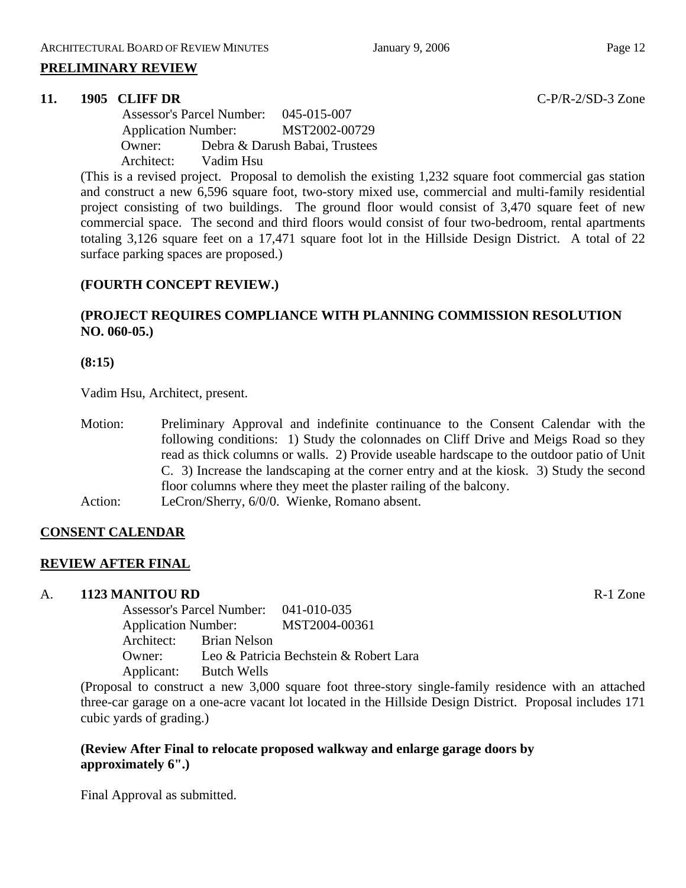### **11. 1905 CLIFF DR** C-P/R-2/SD-3 Zone

 Assessor's Parcel Number: 045-015-007 Application Number: MST2002-00729 Owner: Debra & Darush Babai, Trustees Architect: Vadim Hsu

(This is a revised project. Proposal to demolish the existing 1,232 square foot commercial gas station and construct a new 6,596 square foot, two-story mixed use, commercial and multi-family residential project consisting of two buildings. The ground floor would consist of 3,470 square feet of new commercial space. The second and third floors would consist of four two-bedroom, rental apartments totaling 3,126 square feet on a 17,471 square foot lot in the Hillside Design District. A total of 22 surface parking spaces are proposed.)

# **(FOURTH CONCEPT REVIEW.)**

# **(PROJECT REQUIRES COMPLIANCE WITH PLANNING COMMISSION RESOLUTION NO. 060-05.)**

# **(8:15)**

Vadim Hsu, Architect, present.

Motion: Preliminary Approval and indefinite continuance to the Consent Calendar with the following conditions: 1) Study the colonnades on Cliff Drive and Meigs Road so they read as thick columns or walls. 2) Provide useable hardscape to the outdoor patio of Unit C. 3) Increase the landscaping at the corner entry and at the kiosk. 3) Study the second floor columns where they meet the plaster railing of the balcony. Action: LeCron/Sherry, 6/0/0. Wienke, Romano absent.

# **CONSENT CALENDAR**

# **REVIEW AFTER FINAL**

# A. **1123 MANITOU RD** R-1 Zone

Assessor's Parcel Number: 041-010-035 Application Number: MST2004-00361 Architect: Brian Nelson Owner: Leo & Patricia Bechstein & Robert Lara Applicant: Butch Wells

(Proposal to construct a new 3,000 square foot three-story single-family residence with an attached three-car garage on a one-acre vacant lot located in the Hillside Design District. Proposal includes 171 cubic yards of grading.)

# **(Review After Final to relocate proposed walkway and enlarge garage doors by approximately 6".)**

Final Approval as submitted.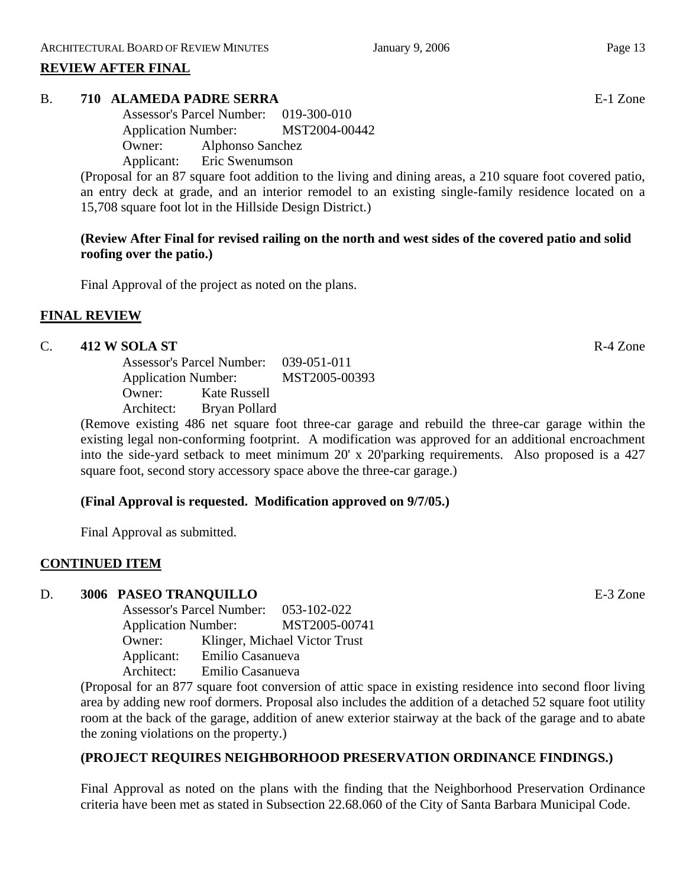# **REVIEW AFTER FINAL**

# B. **710 ALAMEDA PADRE SERRA** E-1 Zone

Assessor's Parcel Number: 019-300-010 Application Number: MST2004-00442 Owner: Alphonso Sanchez

Applicant: Eric Swenumson

(Proposal for an 87 square foot addition to the living and dining areas, a 210 square foot covered patio, an entry deck at grade, and an interior remodel to an existing single-family residence located on a 15,708 square foot lot in the Hillside Design District.)

# **(Review After Final for revised railing on the north and west sides of the covered patio and solid roofing over the patio.)**

Final Approval of the project as noted on the plans.

# **FINAL REVIEW**

# C. **412 W SOLA ST** R-4 Zone

|            | <b>Assessor's Parcel Number:</b> |  |
|------------|----------------------------------|--|
|            | <b>Application Number:</b>       |  |
| Owner:     | Kate Russell                     |  |
| Architect: | Bryan Pollard                    |  |

(Remove existing 486 net square foot three-car garage and rebuild the three-car garage within the existing legal non-conforming footprint. A modification was approved for an additional encroachment into the side-yard setback to meet minimum 20' x 20'parking requirements. Also proposed is a 427 square foot, second story accessory space above the three-car garage.)

# **(Final Approval is requested. Modification approved on 9/7/05.)**

Final Approval as submitted.

# **CONTINUED ITEM**

# D. **3006 PASEO TRANQUILLO** E-3 Zone

Assessor's Parcel Number: 053-102-022 Application Number: MST2005-00741 Owner: Klinger, Michael Victor Trust Applicant: Emilio Casanueva Architect: Emilio Casanueva

(Proposal for an 877 square foot conversion of attic space in existing residence into second floor living area by adding new roof dormers. Proposal also includes the addition of a detached 52 square foot utility room at the back of the garage, addition of anew exterior stairway at the back of the garage and to abate the zoning violations on the property.)

# **(PROJECT REQUIRES NEIGHBORHOOD PRESERVATION ORDINANCE FINDINGS.)**

Final Approval as noted on the plans with the finding that the Neighborhood Preservation Ordinance criteria have been met as stated in Subsection 22.68.060 of the City of Santa Barbara Municipal Code.